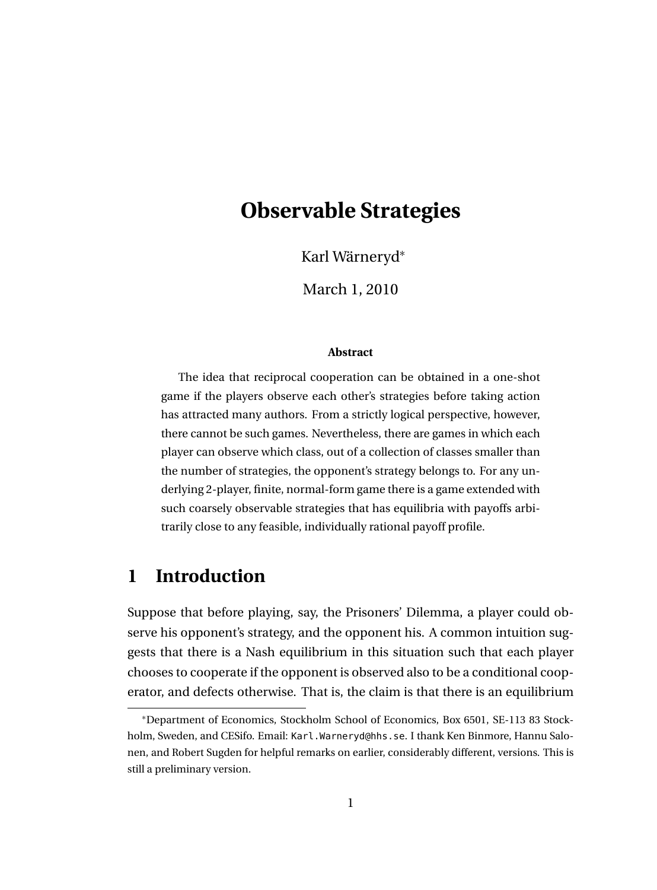# **Observable Strategies**

Karl Wärneryd<sup>∗</sup>

March 1, 2010

#### **Abstract**

The idea that reciprocal cooperation can be obtained in a one-shot game if the players observe each other's strategies before taking action has attracted many authors. From a strictly logical perspective, however, there cannot be such games. Nevertheless, there are games in which each player can observe which class, out of a collection of classes smaller than the number of strategies, the opponent's strategy belongs to. For any underlying 2-player, finite, normal-form game there is a game extended with such coarsely observable strategies that has equilibria with payoffs arbitrarily close to any feasible, individually rational payoff profile.

# **1 Introduction**

Suppose that before playing, say, the Prisoners' Dilemma, a player could observe his opponent's strategy, and the opponent his. A common intuition suggests that there is a Nash equilibrium in this situation such that each player chooses to cooperate if the opponent is observed also to be a conditional cooperator, and defects otherwise. That is, the claim is that there is an equilibrium

<sup>∗</sup>Department of Economics, Stockholm School of Economics, Box 6501, SE-113 83 Stockholm, Sweden, and CESifo. Email: Karl.Warneryd@hhs.se. I thank Ken Binmore, Hannu Salonen, and Robert Sugden for helpful remarks on earlier, considerably different, versions. This is still a preliminary version.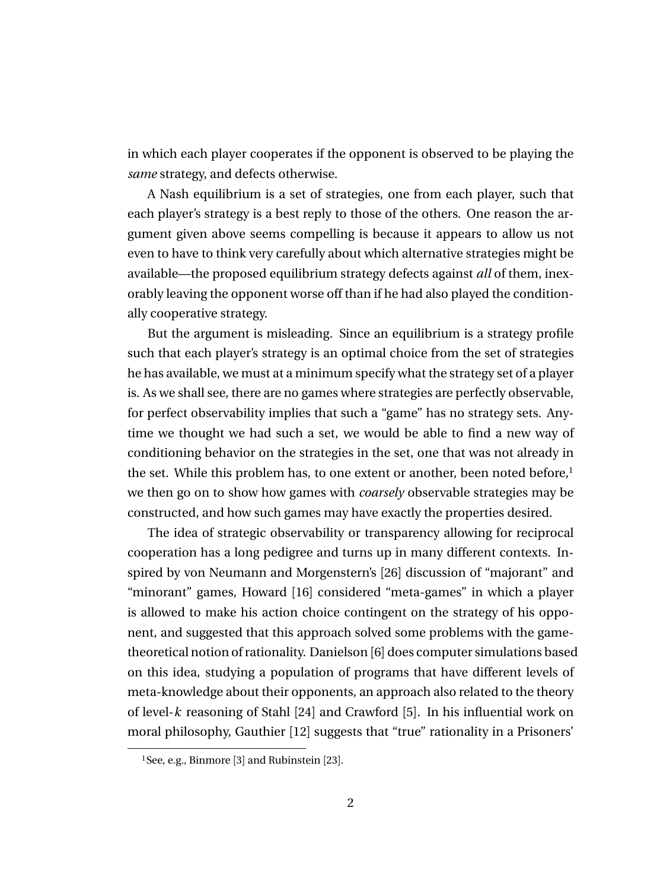in which each player cooperates if the opponent is observed to be playing the *same* strategy, and defects otherwise.

A Nash equilibrium is a set of strategies, one from each player, such that each player's strategy is a best reply to those of the others. One reason the argument given above seems compelling is because it appears to allow us not even to have to think very carefully about which alternative strategies might be available—the proposed equilibrium strategy defects against *all* of them, inexorably leaving the opponent worse off than if he had also played the conditionally cooperative strategy.

But the argument is misleading. Since an equilibrium is a strategy profile such that each player's strategy is an optimal choice from the set of strategies he has available, we must at a minimum specify what the strategy set of a player is. As we shall see, there are no games where strategies are perfectly observable, for perfect observability implies that such a "game" has no strategy sets. Anytime we thought we had such a set, we would be able to find a new way of conditioning behavior on the strategies in the set, one that was not already in the set. While this problem has, to one extent or another, been noted before, $1$ we then go on to show how games with *coarsely* observable strategies may be constructed, and how such games may have exactly the properties desired.

The idea of strategic observability or transparency allowing for reciprocal cooperation has a long pedigree and turns up in many different contexts. Inspired by von Neumann and Morgenstern's [26] discussion of "majorant" and "minorant" games, Howard [16] considered "meta-games" in which a player is allowed to make his action choice contingent on the strategy of his opponent, and suggested that this approach solved some problems with the gametheoretical notion of rationality. Danielson [6] does computer simulations based on this idea, studying a population of programs that have different levels of meta-knowledge about their opponents, an approach also related to the theory of level-*k* reasoning of Stahl [24] and Crawford [5]. In his influential work on moral philosophy, Gauthier [12] suggests that "true" rationality in a Prisoners'

<sup>1</sup>See, e.g., Binmore [3] and Rubinstein [23].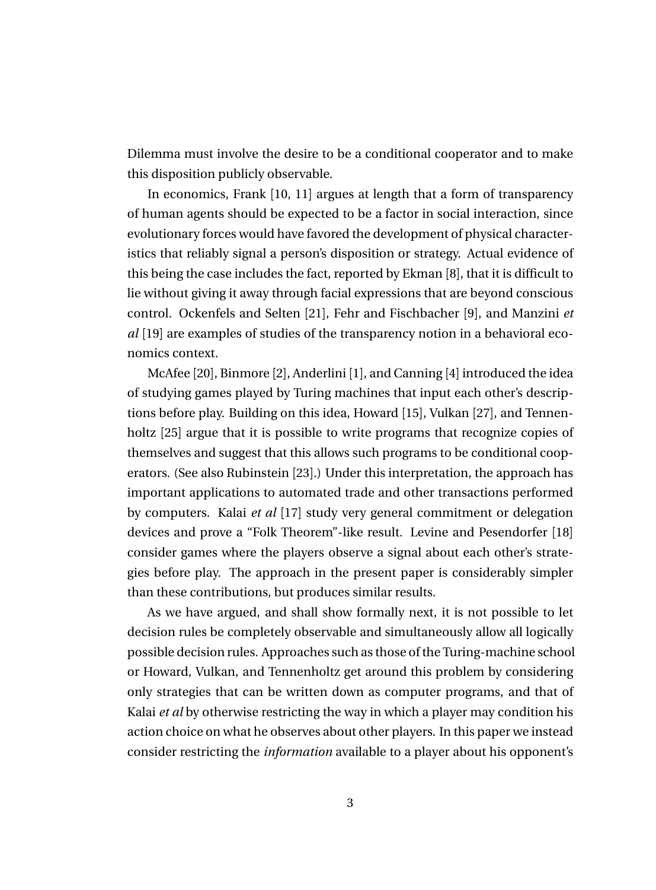Dilemma must involve the desire to be a conditional cooperator and to make this disposition publicly observable.

In economics, Frank [10, 11] argues at length that a form of transparency of human agents should be expected to be a factor in social interaction, since evolutionary forces would have favored the development of physical characteristics that reliably signal a person's disposition or strategy. Actual evidence of this being the case includes the fact, reported by Ekman [8], that it is difficult to lie without giving it away through facial expressions that are beyond conscious control. Ockenfels and Selten [21], Fehr and Fischbacher [9], and Manzini *et al* [19] are examples of studies of the transparency notion in a behavioral economics context.

McAfee [20], Binmore [2], Anderlini [1], and Canning [4] introduced the idea of studying games played by Turing machines that input each other's descriptions before play. Building on this idea, Howard [15], Vulkan [27], and Tennenholtz [25] argue that it is possible to write programs that recognize copies of themselves and suggest that this allows such programs to be conditional cooperators. (See also Rubinstein [23].) Under this interpretation, the approach has important applications to automated trade and other transactions performed by computers. Kalai *et al* [17] study very general commitment or delegation devices and prove a "Folk Theorem"-like result. Levine and Pesendorfer [18] consider games where the players observe a signal about each other's strategies before play. The approach in the present paper is considerably simpler than these contributions, but produces similar results.

As we have argued, and shall show formally next, it is not possible to let decision rules be completely observable and simultaneously allow all logically possible decision rules. Approaches such as those of the Turing-machine school or Howard, Vulkan, and Tennenholtz get around this problem by considering only strategies that can be written down as computer programs, and that of Kalai *et al* by otherwise restricting the way in which a player may condition his action choice on what he observes about other players. In this paper we instead consider restricting the *information* available to a player about his opponent's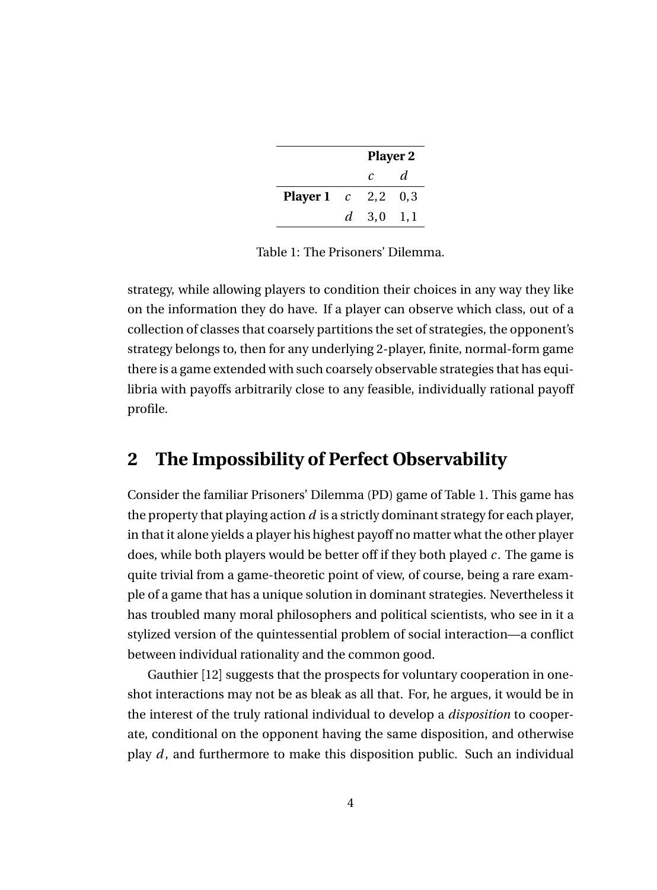|                             | <b>Player 2</b>     |    |  |
|-----------------------------|---------------------|----|--|
|                             | $\mathcal{C}$       | d. |  |
| <b>Player 1</b> $c$ 2,2 0,3 |                     |    |  |
|                             | $d = 3,0 \quad 1,1$ |    |  |

Table 1: The Prisoners' Dilemma.

strategy, while allowing players to condition their choices in any way they like on the information they do have. If a player can observe which class, out of a collection of classes that coarsely partitions the set of strategies, the opponent's strategy belongs to, then for any underlying 2-player, finite, normal-form game there is a game extended with such coarsely observable strategies that has equilibria with payoffs arbitrarily close to any feasible, individually rational payoff profile.

### **2 The Impossibility of Perfect Observability**

Consider the familiar Prisoners' Dilemma (PD) game of Table 1. This game has the property that playing action *d* is a strictly dominant strategy for each player, in that it alone yields a player his highest payoff no matter what the other player does, while both players would be better off if they both played *c* . The game is quite trivial from a game-theoretic point of view, of course, being a rare example of a game that has a unique solution in dominant strategies. Nevertheless it has troubled many moral philosophers and political scientists, who see in it a stylized version of the quintessential problem of social interaction—a conflict between individual rationality and the common good.

Gauthier [12] suggests that the prospects for voluntary cooperation in oneshot interactions may not be as bleak as all that. For, he argues, it would be in the interest of the truly rational individual to develop a *disposition* to cooperate, conditional on the opponent having the same disposition, and otherwise play *d* , and furthermore to make this disposition public. Such an individual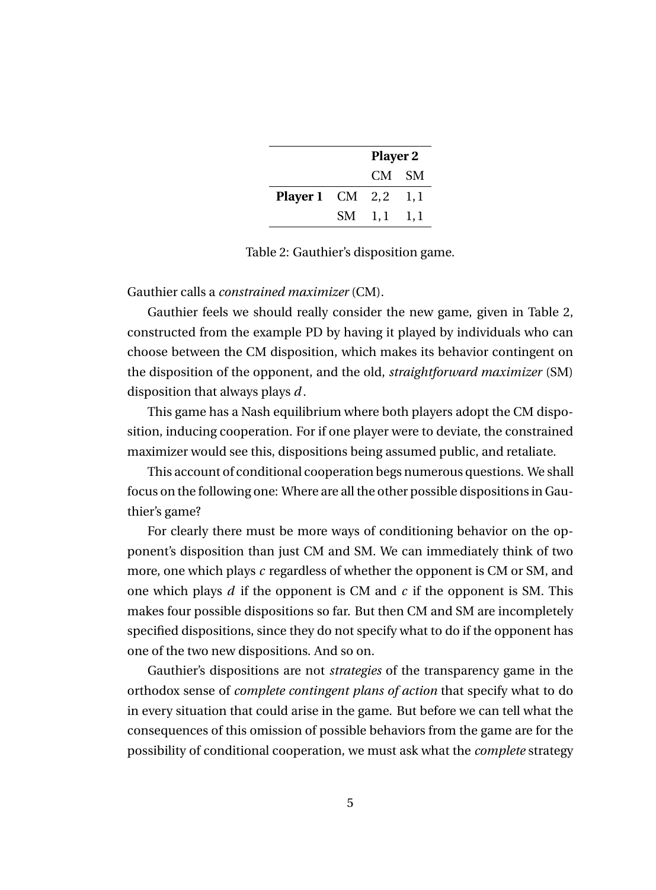|                                | <b>Player 2</b> |  |  |
|--------------------------------|-----------------|--|--|
|                                | CM SM           |  |  |
| <b>Player 1</b> CM $2, 2$ 1, 1 |                 |  |  |
|                                | $SM$ 1,1 1,1    |  |  |

Table 2: Gauthier's disposition game.

#### Gauthier calls a *constrained maximizer* (CM).

Gauthier feels we should really consider the new game, given in Table 2, constructed from the example PD by having it played by individuals who can choose between the CM disposition, which makes its behavior contingent on the disposition of the opponent, and the old, *straightforward maximizer* (SM) disposition that always plays *d* .

This game has a Nash equilibrium where both players adopt the CM disposition, inducing cooperation. For if one player were to deviate, the constrained maximizer would see this, dispositions being assumed public, and retaliate.

This account of conditional cooperation begs numerous questions. We shall focus on the following one: Where are all the other possible dispositions in Gauthier's game?

For clearly there must be more ways of conditioning behavior on the opponent's disposition than just CM and SM. We can immediately think of two more, one which plays *c* regardless of whether the opponent is CM or SM, and one which plays *d* if the opponent is CM and *c* if the opponent is SM. This makes four possible dispositions so far. But then CM and SM are incompletely specified dispositions, since they do not specify what to do if the opponent has one of the two new dispositions. And so on.

Gauthier's dispositions are not *strategies* of the transparency game in the orthodox sense of *complete contingent plans of action* that specify what to do in every situation that could arise in the game. But before we can tell what the consequences of this omission of possible behaviors from the game are for the possibility of conditional cooperation, we must ask what the *complete* strategy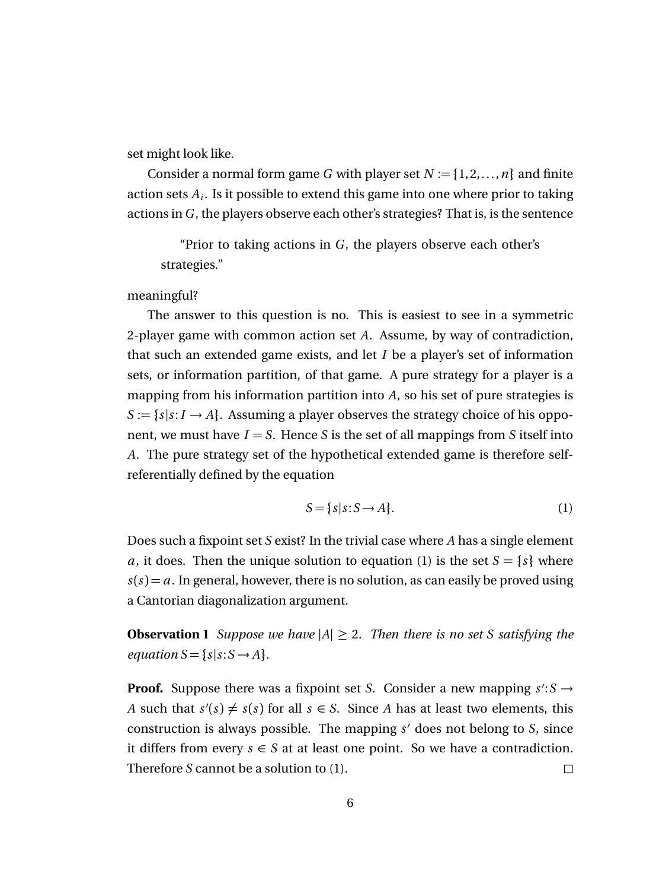set might look like.

Consider a normal form game *G* with player set  $N := \{1, 2, ..., n\}$  and finite action sets *A<sup>i</sup>* . Is it possible to extend this game into one where prior to taking actions in *G* , the players observe each other's strategies? That is, is the sentence

"Prior to taking actions in *G* , the players observe each other's strategies."

meaningful?

The answer to this question is no. This is easiest to see in a symmetric 2-player game with common action set *A*. Assume, by way of contradiction, that such an extended game exists, and let *I* be a player's set of information sets, or information partition, of that game. A pure strategy for a player is a mapping from his information partition into *A*, so his set of pure strategies is  $S := \{s | s : I \to A\}$ . Assuming a player observes the strategy choice of his opponent, we must have  $I = S$ . Hence *S* is the set of all mappings from *S* itself into *A*. The pure strategy set of the hypothetical extended game is therefore selfreferentially defined by the equation

$$
S = \{s | s: S \to A\}.
$$
 (1)

Does such a fixpoint set *S* exist? In the trivial case where *A* has a single element *a*, it does. Then the unique solution to equation (1) is the set  $S = \{s\}$  where  $s(s) = a$ . In general, however, there is no solution, as can easily be proved using a Cantorian diagonalization argument.

**Observation 1** *Suppose we have*  $|A| \ge 2$ *. Then there is no set S satisfying the equation*  $S = \{s | s: S \rightarrow A\}$ *.* 

**Proof.** Suppose there was a fixpoint set *S*. Consider a new mapping  $s$ ':  $S \rightarrow$ *A* such that  $s'(s) \neq s(s)$  for all  $s \in S$ . Since *A* has at least two elements, this construction is always possible. The mapping  $s'$  does not belong to *S*, since it differs from every  $s \in S$  at at least one point. So we have a contradiction. Therefore *S* cannot be a solution to (1). □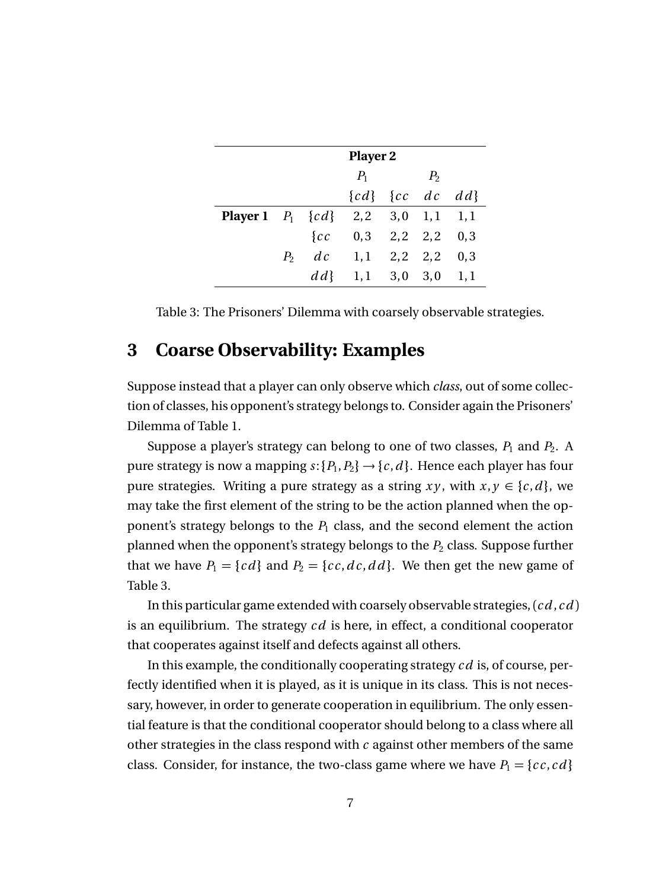|                                            | <b>Player 2</b> |                          |  |                |      |
|--------------------------------------------|-----------------|--------------------------|--|----------------|------|
|                                            |                 | $P_1$                    |  | P <sub>2</sub> |      |
|                                            |                 | ${cd}$ ${cc}$ $dc$ $dd$  |  |                |      |
| <b>Player 1</b> $P_1$ {cd} 2,2 3,0 1,1 1,1 |                 |                          |  |                |      |
|                                            |                 | $\{cc$ 0,3 2,2 2,2 0,3   |  |                |      |
|                                            |                 | $P_2$ dc 1,1 2,2 2,2 0,3 |  |                |      |
|                                            |                 | $dd\{1}, 1$ 3,0 3,0      |  |                | 1, 1 |

Table 3: The Prisoners' Dilemma with coarsely observable strategies.

### **3 Coarse Observability: Examples**

Suppose instead that a player can only observe which *class*, out of some collection of classes, his opponent's strategy belongs to. Consider again the Prisoners' Dilemma of Table 1.

Suppose a player's strategy can belong to one of two classes,  $P_1$  and  $P_2$ . A pure strategy is now a mapping  $s: \{P_1, P_2\} \rightarrow \{c, d\}$ . Hence each player has four pure strategies. Writing a pure strategy as a string  $xy$ , with  $x, y \in \{c, d\}$ , we may take the first element of the string to be the action planned when the opponent's strategy belongs to the  $P_1$  class, and the second element the action planned when the opponent's strategy belongs to the *P*<sup>2</sup> class. Suppose further that we have  $P_1 = \{cd\}$  and  $P_2 = \{cc, dc, dd\}$ . We then get the new game of Table 3.

In this particular game extended with coarsely observable strategies, (*c d* , *c d* ) is an equilibrium. The strategy *c d* is here, in effect, a conditional cooperator that cooperates against itself and defects against all others.

In this example, the conditionally cooperating strategy *c d* is, of course, perfectly identified when it is played, as it is unique in its class. This is not necessary, however, in order to generate cooperation in equilibrium. The only essential feature is that the conditional cooperator should belong to a class where all other strategies in the class respond with *c* against other members of the same class. Consider, for instance, the two-class game where we have  $P_1 = \{cc, cd\}$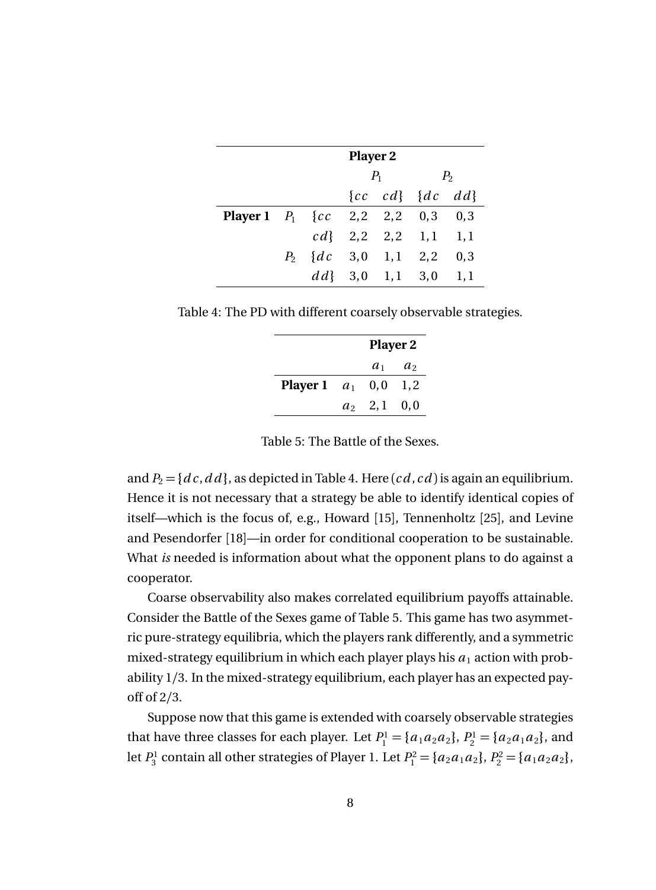|                                           | <b>Player 2</b>       |       |                         |                |     |
|-------------------------------------------|-----------------------|-------|-------------------------|----------------|-----|
|                                           |                       | $P_1$ |                         | P <sub>2</sub> |     |
|                                           |                       |       | ${cc} cd{ 4c} dd$       |                |     |
| <b>Player 1</b> $P_1$ {cc 2,2 2,2 0,3 0,3 |                       |       |                         |                |     |
|                                           |                       |       | $cd\{2,2,2,2,1,1,1,1\}$ |                |     |
|                                           | $P_2$ {dc 3,0 1,1 2,2 |       |                         |                | 0,3 |
|                                           |                       |       | $dd{3}$ , 0 1, 1 3, 0   |                | 1,1 |

Table 4: The PD with different coarsely observable strategies.

|                           | <b>Player 2</b> |                 |  |
|---------------------------|-----------------|-----------------|--|
|                           |                 | $a_1 \quad a_2$ |  |
| <b>Player 1</b> $a_1$ 0,0 |                 | 1.2             |  |
|                           | $a_2$ 2,1 0,0   |                 |  |

Table 5: The Battle of the Sexes.

and  $P_2 = \{dc, dd\}$ , as depicted in Table 4. Here  $(cd, cd)$  is again an equilibrium. Hence it is not necessary that a strategy be able to identify identical copies of itself—which is the focus of, e.g., Howard [15], Tennenholtz [25], and Levine and Pesendorfer [18]—in order for conditional cooperation to be sustainable. What *is* needed is information about what the opponent plans to do against a cooperator.

Coarse observability also makes correlated equilibrium payoffs attainable. Consider the Battle of the Sexes game of Table 5. This game has two asymmetric pure-strategy equilibria, which the players rank differently, and a symmetric mixed-strategy equilibrium in which each player plays his  $a_1$  action with probability 1*/*3. In the mixed-strategy equilibrium, each player has an expected payoff of 2*/*3.

Suppose now that this game is extended with coarsely observable strategies that have three classes for each player. Let  $P_1^1 = \{a_1 a_2 a_2\}, P_2^1 = \{a_2 a_1 a_2\}$ , and let  $P_3^1$  contain all other strategies of Player 1. Let  $P_1^2 = \{a_2a_1a_2\}$ ,  $P_2^2 = \{a_1a_2a_2\}$ ,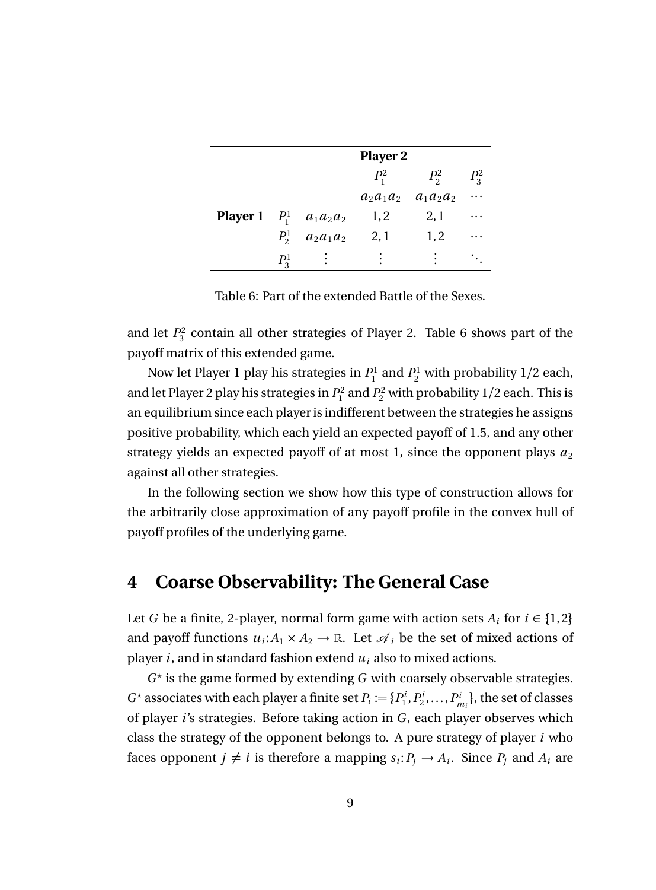|                                     |               | <b>Player 2</b> |         |                             |          |  |
|-------------------------------------|---------------|-----------------|---------|-----------------------------|----------|--|
|                                     |               |                 | $P_1^2$ | $P_2^2$                     | $P_3^2$  |  |
|                                     |               |                 |         | $a_2a_1a_2 \quad a_1a_2a_2$ | $\cdots$ |  |
| <b>Player 1</b> $P_1^1$ $a_1a_2a_2$ |               |                 | 1,2     | 2,1                         | $\cdots$ |  |
|                                     | $P_2^1$       | $a_2a_1a_2$     | 2,1     | 1,2                         | $\cdots$ |  |
|                                     | $P_{\circ}^1$ |                 |         |                             |          |  |

Table 6: Part of the extended Battle of the Sexes.

and let  $P_3^2$  contain all other strategies of Player 2. Table 6 shows part of the payoff matrix of this extended game.

Now let Player 1 play his strategies in  $P_1^1$  and  $P_2^1$  with probability 1/2 each, and let Player 2 play his strategies in  $P_1^2$  and  $P_2^2$  with probability  $1/2$  each. This is an equilibrium since each player is indifferent between the strategies he assigns positive probability, which each yield an expected payoff of 1.5, and any other strategy yields an expected payoff of at most 1, since the opponent plays  $a_2$ against all other strategies.

In the following section we show how this type of construction allows for the arbitrarily close approximation of any payoff profile in the convex hull of payoff profiles of the underlying game.

### **4 Coarse Observability: The General Case**

Let *G* be a finite, 2-player, normal form game with action sets  $A_i$  for  $i \in \{1,2\}$ and payoff functions  $u_i: A_1 \times A_2 \to \mathbb{R}$ . Let  $\mathcal{A}_i$  be the set of mixed actions of player *i*, and in standard fashion extend *u<sup>i</sup>* also to mixed actions.

 $G^*$  is the game formed by extending  $G$  with coarsely observable strategies.  $G^*$  associates with each player a finite set  $P_i := \{P_1^i, P_2^i, \ldots, P_{m_i}^i\}$ , the set of classes of player *i*'s strategies. Before taking action in *G* , each player observes which class the strategy of the opponent belongs to. A pure strategy of player *i* who faces opponent  $j \neq i$  is therefore a mapping  $s_i: P_j \to A_i$ . Since  $P_j$  and  $A_i$  are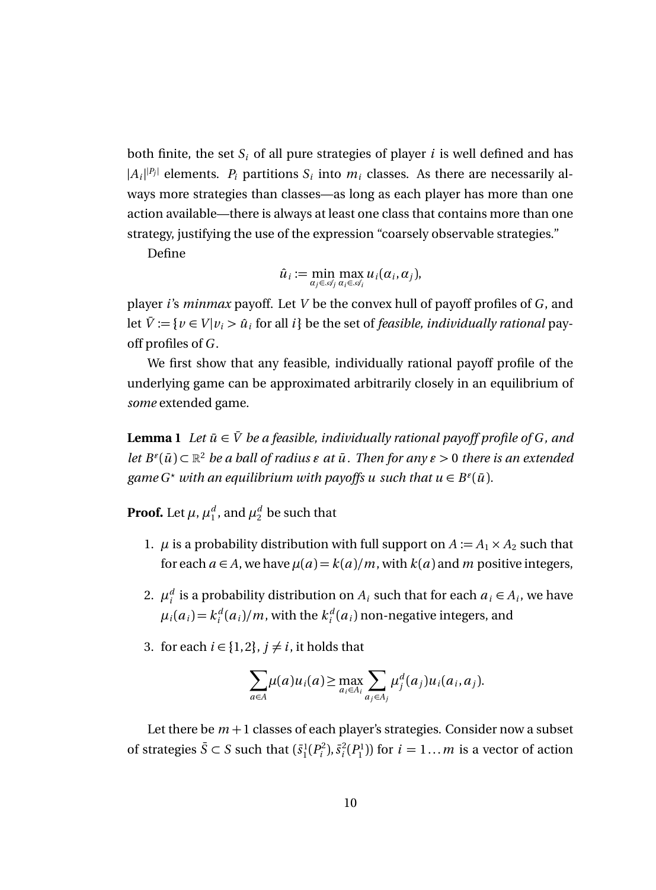both finite, the set  $S_i$  of all pure strategies of player *i* is well defined and has  $|A_i|^{p_i}$  elements.  $P_i$  partitions  $S_i$  into  $m_i$  classes. As there are necessarily always more strategies than classes—as long as each player has more than one action available—there is always at least one class that contains more than one strategy, justifying the use of the expression "coarsely observable strategies."

Define

$$
\hat{u}_i := \min_{\alpha_j \in \mathcal{A}_j} \max_{\alpha_i \in \mathcal{A}_i} u_i(\alpha_i, \alpha_j),
$$

player *i*'s *minmax* payoff. Let *V* be the convex hull of payoff profiles of *G* , and let  $\bar{V} := \{v \in V | v_i > \hat{u}_i \text{ for all } i\}$  be the set of *feasible, individually rational* payoff profiles of *G* .

We first show that any feasible, individually rational payoff profile of the underlying game can be approximated arbitrarily closely in an equilibrium of *some* extended game.

**Lemma 1** *Let*  $\bar{u} \in \bar{V}$  *be a feasible, individually rational payoff profile of G, and let*  $B^{\epsilon}(\bar{u}) \subset \mathbb{R}^2$  *be a ball of radius*  $\epsilon$  *at*  $\bar{u}$ *. Then for any*  $\epsilon > 0$  *there is an extended* game  $G^*$  *with an equilibrium with payoffs u such that*  $u \in B^{\epsilon}(\bar{u})$ *.* 

**Proof.** Let  $\mu$ ,  $\mu_1^d$ , and  $\mu_2^d$  be such that

- 1.  $\mu$  is a probability distribution with full support on  $A := A_1 \times A_2$  such that for each  $a \in A$ , we have  $\mu(a) = k(a)/m$ , with  $k(a)$  and  $m$  positive integers,
- 2.  $\mu_i^d$  is a probability distribution on  $A_i$  such that for each  $a_i \in A_i$ , we have  $\mu_i(a_i) = k_i^d(a_i)/m$ , with the  $k_i^d(a_i)$  non-negative integers, and
- 3. for each  $i \in \{1,2\}$ ,  $j \neq i$ , it holds that

$$
\sum_{a\in A}\mu(a)u_i(a) \geq \max_{a_i\in A_i}\sum_{a_j\in A_j}\mu_j^d(a_j)u_i(a_i,a_j).
$$

Let there be  $m+1$  classes of each player's strategies. Consider now a subset of strategies  $\bar{S} \subset S$  such that  $(\bar{s}_1^1(P_i^2), \bar{s}_i^2(P_1^1))$  for  $i = 1...m$  is a vector of action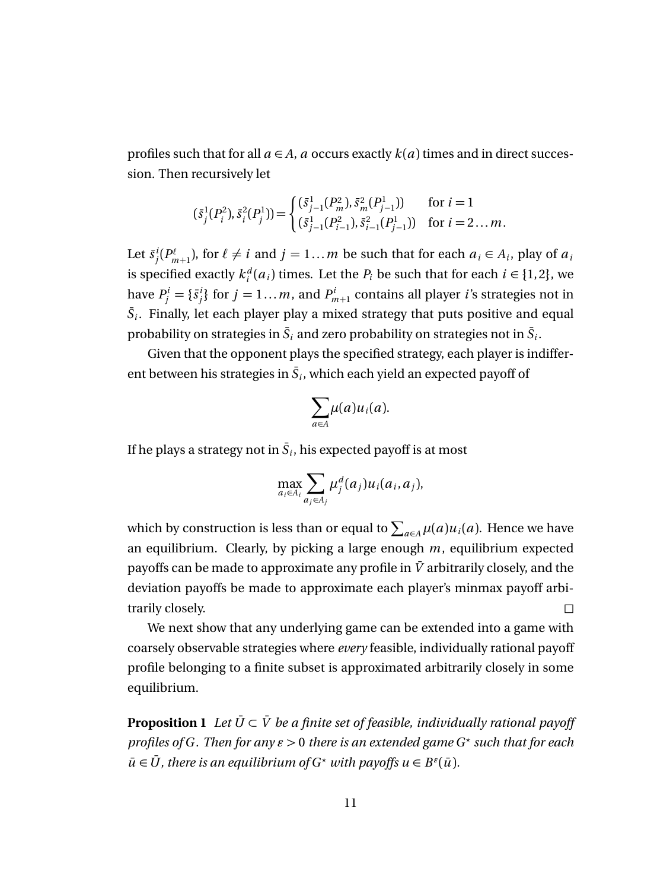profiles such that for all  $a \in A$ , *a* occurs exactly  $k(a)$  times and in direct succession. Then recursively let

$$
(\bar{s}_j^1(P_i^2), \bar{s}_i^2(P_j^1)) = \begin{cases} (\bar{s}_{j-1}^1(P_m^2), \bar{s}_m^2(P_{j-1}^1)) & \text{for } i = 1\\ (\bar{s}_{j-1}^1(P_{i-1}^2), \bar{s}_{i-1}^2(P_{j-1}^1)) & \text{for } i = 2 \dots m. \end{cases}
$$

Let  $\bar{s}^i_j(P^{\ell}_{m+1})$ , for  $\ell \neq i$  and  $j = 1...m$  be such that for each  $a_i \in A_i$ , play of  $a_i$ is specified exactly  $k_i^d(a_i)$  times. Let the  $P_i$  be such that for each  $i \in \{1,2\}$ , we have  $P^i_j = \{\bar{s}^i_j\}$  for  $j = 1...m$ , and  $P^i_{m+1}$  contains all player *i*'s strategies not in  $\bar{S}_i$ . Finally, let each player play a mixed strategy that puts positive and equal probability on strategies in  $\bar{S}_i$  and zero probability on strategies not in  $\bar{S}_i$ .

Given that the opponent plays the specified strategy, each player is indifferent between his strategies in  $\bar{S}_i$ , which each yield an expected payoff of

$$
\sum_{a\in A}\mu(a)u_i(a).
$$

If he plays a strategy not in  $\bar{S}_i$ , his expected payoff is at most

$$
\max_{a_i \in A_i} \sum_{a_j \in A_j} \mu_j^d(a_j) u_i(a_i, a_j),
$$

which by construction is less than or equal to  $\sum_{a \in A} \mu(a) u_i(a)$ . Hence we have an equilibrium. Clearly, by picking a large enough *m*, equilibrium expected payoffs can be made to approximate any profile in  $\bar{V}$  arbitrarily closely, and the deviation payoffs be made to approximate each player's minmax payoff arbitrarily closely.

We next show that any underlying game can be extended into a game with coarsely observable strategies where *every* feasible, individually rational payoff profile belonging to a finite subset is approximated arbitrarily closely in some equilibrium.

**Proposition 1** *Let*  $\bar{U} \subset \bar{V}$  *be a finite set of feasible, individually rational payoff profiles of G . Then for any*  $\epsilon > 0$  *there is an extended game G\* such that for each*  $\bar{u} \in \bar{U}$ , there is an equilibrium of  $G^*$  *with payoffs*  $u \in B^{\epsilon}(\bar{u})$ *.*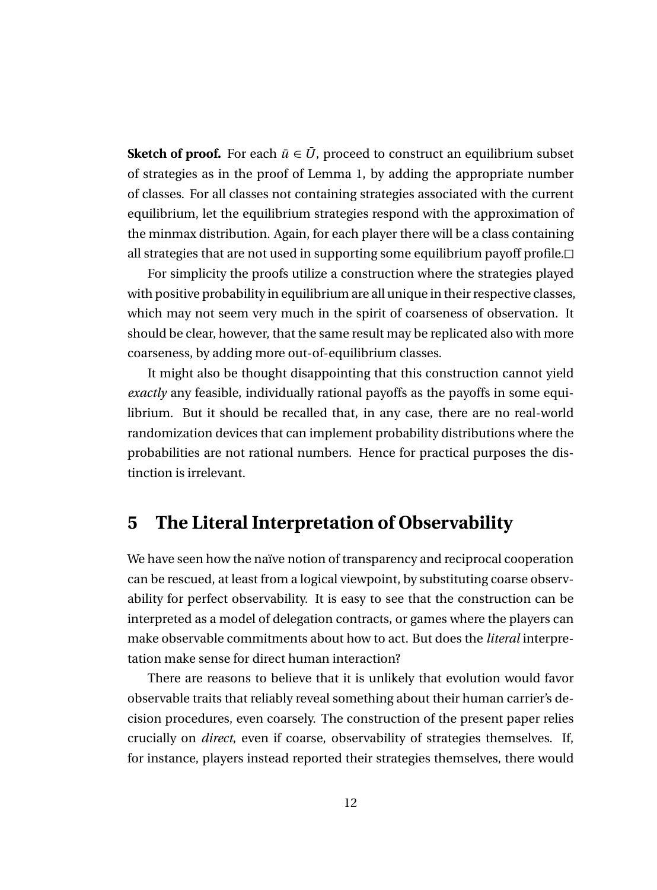**Sketch of proof.** For each  $\bar{u} \in \bar{U}$ , proceed to construct an equilibrium subset of strategies as in the proof of Lemma 1, by adding the appropriate number of classes. For all classes not containing strategies associated with the current equilibrium, let the equilibrium strategies respond with the approximation of the minmax distribution. Again, for each player there will be a class containing all strategies that are not used in supporting some equilibrium payoff profile.

For simplicity the proofs utilize a construction where the strategies played with positive probability in equilibrium are all unique in their respective classes, which may not seem very much in the spirit of coarseness of observation. It should be clear, however, that the same result may be replicated also with more coarseness, by adding more out-of-equilibrium classes.

It might also be thought disappointing that this construction cannot yield *exactly* any feasible, individually rational payoffs as the payoffs in some equilibrium. But it should be recalled that, in any case, there are no real-world randomization devices that can implement probability distributions where the probabilities are not rational numbers. Hence for practical purposes the distinction is irrelevant.

### **5 The Literal Interpretation of Observability**

We have seen how the naïve notion of transparency and reciprocal cooperation can be rescued, at least from a logical viewpoint, by substituting coarse observability for perfect observability. It is easy to see that the construction can be interpreted as a model of delegation contracts, or games where the players can make observable commitments about how to act. But does the *literal* interpretation make sense for direct human interaction?

There are reasons to believe that it is unlikely that evolution would favor observable traits that reliably reveal something about their human carrier's decision procedures, even coarsely. The construction of the present paper relies crucially on *direct*, even if coarse, observability of strategies themselves. If, for instance, players instead reported their strategies themselves, there would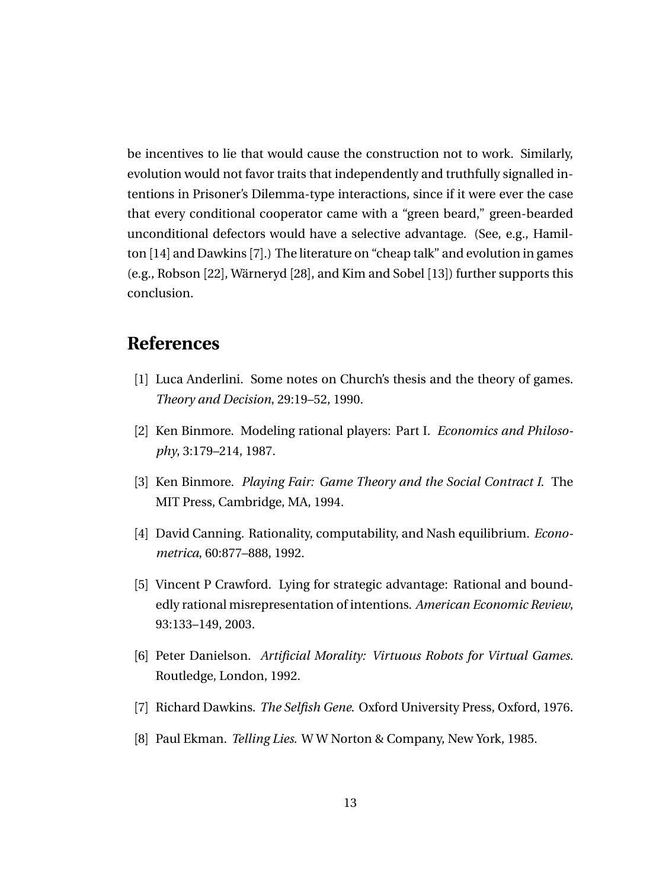be incentives to lie that would cause the construction not to work. Similarly, evolution would not favor traits that independently and truthfully signalled intentions in Prisoner's Dilemma-type interactions, since if it were ever the case that every conditional cooperator came with a "green beard," green-bearded unconditional defectors would have a selective advantage. (See, e.g., Hamilton [14] and Dawkins [7].) The literature on "cheap talk" and evolution in games (e.g., Robson [22], Wärneryd [28], and Kim and Sobel [13]) further supports this conclusion.

# **References**

- [1] Luca Anderlini. Some notes on Church's thesis and the theory of games. *Theory and Decision*, 29:19–52, 1990.
- [2] Ken Binmore. Modeling rational players: Part I. *Economics and Philosophy*, 3:179–214, 1987.
- [3] Ken Binmore. *Playing Fair: Game Theory and the Social Contract I*. The MIT Press, Cambridge, MA, 1994.
- [4] David Canning. Rationality, computability, and Nash equilibrium. *Econometrica*, 60:877–888, 1992.
- [5] Vincent P Crawford. Lying for strategic advantage: Rational and boundedly rational misrepresentation of intentions. *American Economic Review*, 93:133–149, 2003.
- [6] Peter Danielson. *Artificial Morality: Virtuous Robots for Virtual Games*. Routledge, London, 1992.
- [7] Richard Dawkins. *The Selfish Gene*. Oxford University Press, Oxford, 1976.
- [8] Paul Ekman. *Telling Lies*. W W Norton & Company, New York, 1985.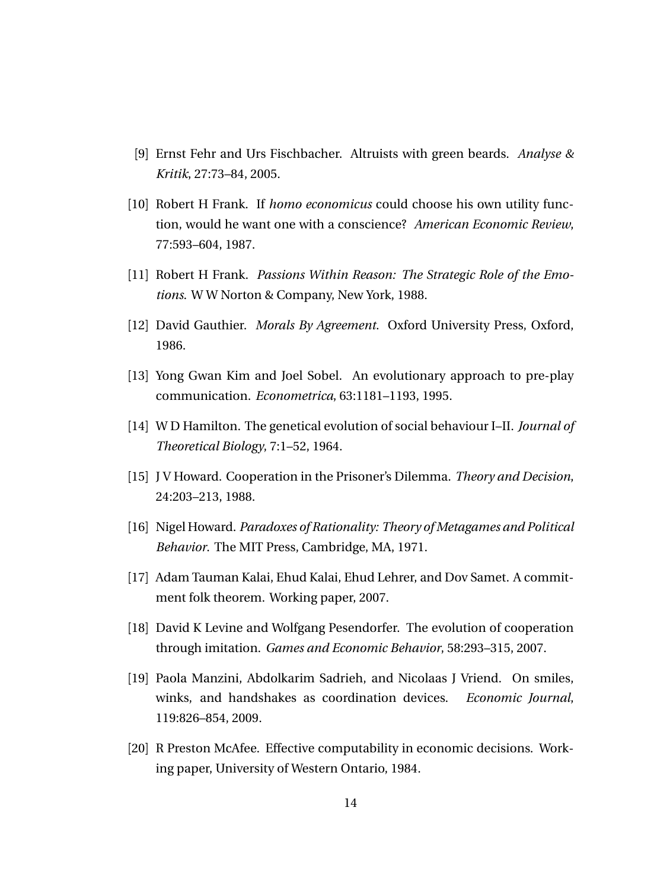- [9] Ernst Fehr and Urs Fischbacher. Altruists with green beards. *Analyse & Kritik*, 27:73–84, 2005.
- [10] Robert H Frank. If *homo economicus* could choose his own utility function, would he want one with a conscience? *American Economic Review*, 77:593–604, 1987.
- [11] Robert H Frank. *Passions Within Reason: The Strategic Role of the Emotions*. W W Norton & Company, New York, 1988.
- [12] David Gauthier. *Morals By Agreement*. Oxford University Press, Oxford, 1986.
- [13] Yong Gwan Kim and Joel Sobel. An evolutionary approach to pre-play communication. *Econometrica*, 63:1181–1193, 1995.
- [14] W D Hamilton. The genetical evolution of social behaviour I–II. *Journal of Theoretical Biology*, 7:1–52, 1964.
- [15] J V Howard. Cooperation in the Prisoner's Dilemma. *Theory and Decision*, 24:203–213, 1988.
- [16] Nigel Howard. *Paradoxes of Rationality: Theory of Metagames and Political Behavior*. The MIT Press, Cambridge, MA, 1971.
- [17] Adam Tauman Kalai, Ehud Kalai, Ehud Lehrer, and Dov Samet. A commitment folk theorem. Working paper, 2007.
- [18] David K Levine and Wolfgang Pesendorfer. The evolution of cooperation through imitation. *Games and Economic Behavior*, 58:293–315, 2007.
- [19] Paola Manzini, Abdolkarim Sadrieh, and Nicolaas J Vriend. On smiles, winks, and handshakes as coordination devices. *Economic Journal*, 119:826–854, 2009.
- [20] R Preston McAfee. Effective computability in economic decisions. Working paper, University of Western Ontario, 1984.